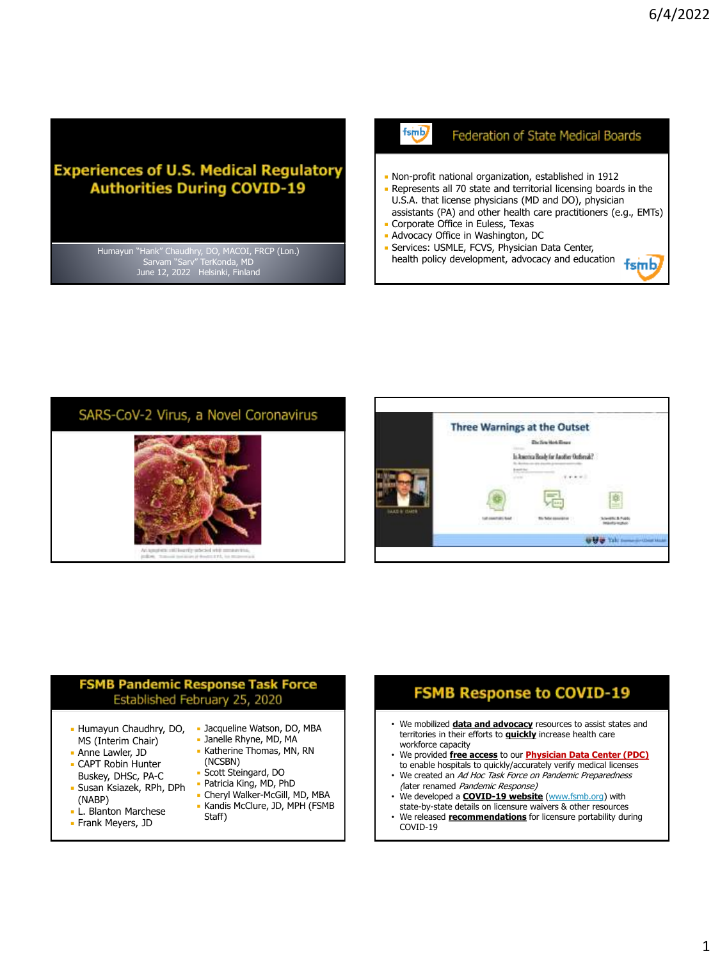## **Experiences of U.S. Medical Regulatory Authorities During COVID-19**

Humayun "Hank" Chaudhry, DO, MACOI, FRCP (Lon.) Sarvam "Sarv" TerKonda, MD June 12, 2022 Helsinki, Finland

#### Federation of State Medical Boards fsmb/

- Non-profit national organization, established in 1912
- Represents all 70 state and territorial licensing boards in the U.S.A. that license physicians (MD and DO), physician assistants (PA) and other health care practitioners (e.g., EMTs)
- Corporate Office in Euless, Texas Advocacy Office in Washington, DC
- Services: USMLE, FCVS, Physician Data Center,
- Services: USPILE, I UVS, I Hysician Liem Service,  $\frac{1}{15}$  health policy development, advocacy and education

## SARS-CoV-2 Virus, a Novel Coronavirus





## **FSMB Pandemic Response Task Force** Established February 25, 2020

- Humayun Chaudhry, DO, MS (Interim Chair)
- **Anne Lawler, JD**
- CAPT Robin Hunter Buskey, DHSc, PA-C
- Susan Ksiazek, RPh, DPh (NABP)
- **L. Blanton Marchese**
- **Frank Meyers, JD**
- Jacqueline Watson, DO, MBA
- Janelle Rhyne, MD, MA
- Katherine Thomas, MN, RN (NCSBN)
- Scott Steingard, DO
- Patricia King, MD, PhD
- Cheryl Walker-McGill, MD, MBA
- Kandis McClure, JD, MPH (FSMB Staff)

## **FSMB Response to COVID-19**

- We mobilized **data and advocacy** resources to assist states and territories in their efforts to **quickly** increase health care workforce capacity
- We provided **free access** to our **Physician Data Center (PDC)**
- to enable hospitals to quickly/accurately verify medical licenses We created an Ad Hoc Task Force on Pandemic Preparedness
- (later renamed Pandemic Response) • We developed a **COVID-19 website** ([www.fsmb.org\)](http://www.fsmb.org/) with
- state-by-state details on licensure waivers & other resources • We released **recommendations** for licensure portability during COVID-19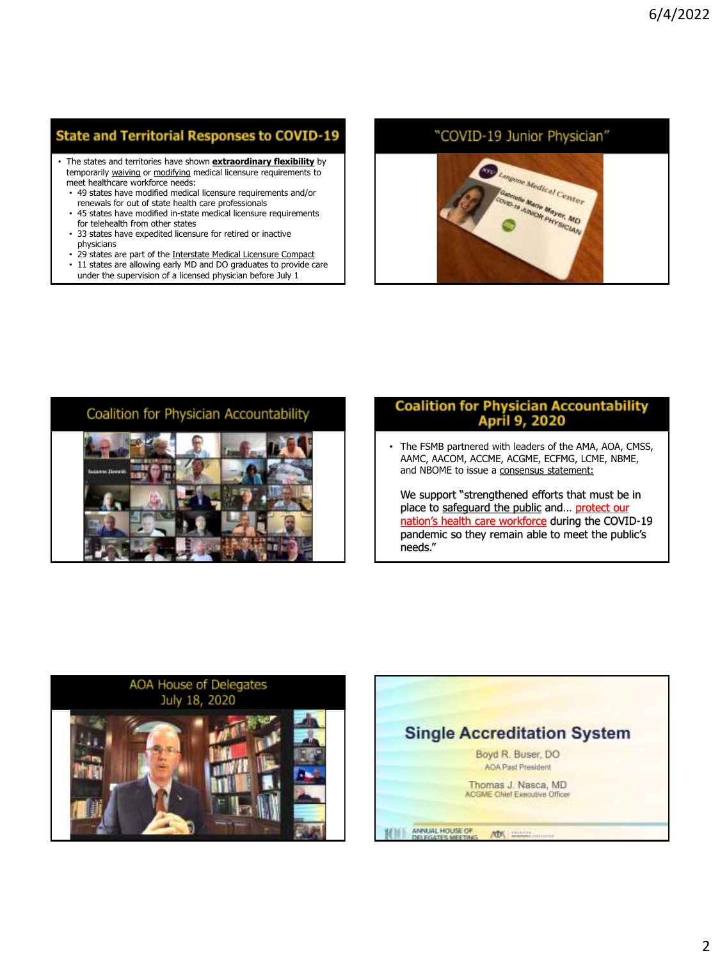## **State and Territorial Responses to COVID-19**

- The states and territories have shown **extraordinary flexibility** by temporarily waiving or modifying medical licensure requirements to meet healthcare workforce needs:
	- 49 states have modified medical licensure requirements and/or renewals for out of state health care professionals
	- 45 states have modified in-state medical licensure requirements for telehealth from other states
	- 33 states have expedited licensure for retired or inactive physicians
	- 29 states are part of the Interstate Medical Licensure Compact
	- 11 states are allowing early MD and DO graduates to provide care under the supervision of a licensed physician before July 1

## "COVID-19 Junior Physician"



## Coalition for Physician Accountability



# **Coalition for Physician Accountability<br>April 9, 2020**

The FSMB partnered with leaders of the AMA, AOA, CMSS, AAMC, AACOM, ACCME, ACGME, ECFMG, LCME, NBME, and NBOME to issue a consensus statement:

We support "strengthened efforts that must be in place to safeguard the public and… protect our nation's health care workforce during the COVID-19 pandemic so they remain able to meet the public's needs."



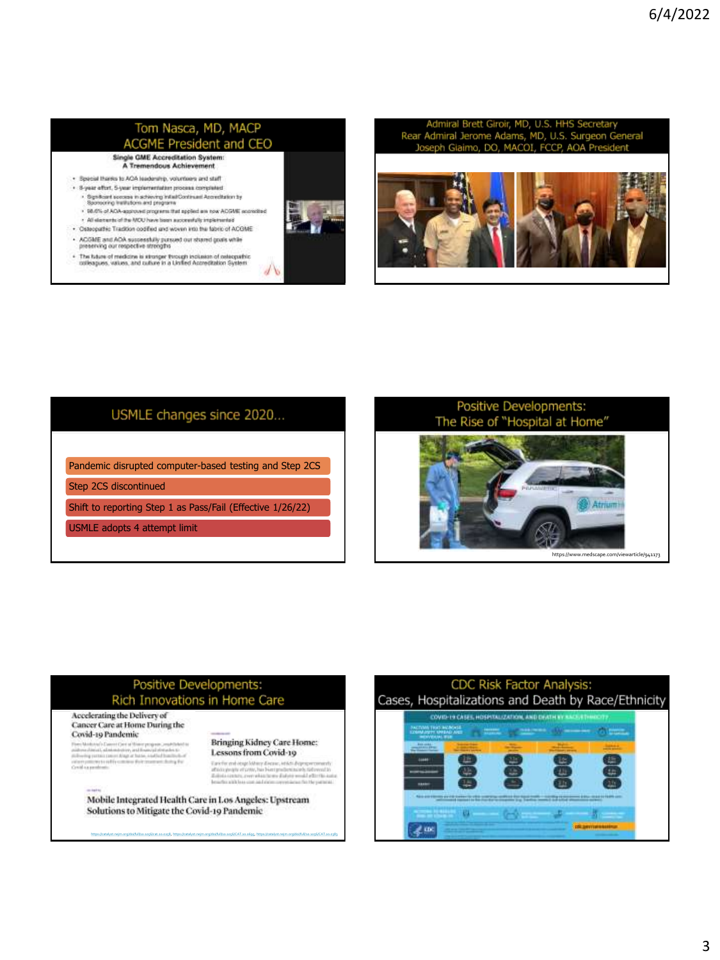### Tom Nasca, MD, MACP **ACGME President and CEO Single GME Accreditation System:**

A Tremendous Achieveme

- · Basebil thanks to AGA teadership, volunteers and staff . 8-year offort, 5-year implementation process completed
- . Significant secons in achieving Initial Continued Accreditation by Sponsoring Institutions and pregnans
- . 98.0% of AOA-approved programs that applied are now AOGME accredited
- . All electeris of the MOU have been auccessfully implemented
- · Osteopathic Tradition codified and wowen into the fabric of ACGME
- . ACGME and ACA suspessfully pursued out shared goals while<br>preserving our respective strengths
- . The future of medicine is stranger through inclusion of celeopathic colleagues, values, and culture in a Unified Accreditation System
- 



Admiral Brett Giroir, MD, U.S. HHS Secreta Rear Admiral Jerome Adams, MD, U.S. Surgeon General Joseph Giaimo, DO, MACOL FCCP, AOA Pres



## USMLE changes since 2020...

Pandemic disrupted computer-based testing and Step 2CS

Step 2CS discontinued

Shift to reporting Step 1 as Pass/Fail (Effective 1/26/22)

USMLE adopts 4 attempt limit

## Positive Developments: The Rise of "Hospital at Home"



### Positive Developments: Rich Innovations in Home Care

Accelerating the Delivery of Cancer Care at Home During the Covid-19 Pandemic

From Manhova  $\hat{G}$  and  $G$  are at these progress constituted to an<br>interactional, administrative and from all details to  $G$ <br>and  $G$  and  $G$  and<br> $G$  and  $G$  and  $G$  and<br> $G$  and  $G$  and  $G$  and<br> $G$  and  $G$  and  $G$  and<br> $G$ 

#### Bringing Kidney Care Home: Lessons from Covid-19

 $\label{thm:main} The string of the type of state, the left-dop group over the  
of the two spin-  
graph of zero, has been predicted in the two-  
minless, and the same of the system of the  
of the unit is zero and in the non-zero-  
invariant. The point is a set of the  
of the point is$ 

Mobile Integrated Health Care in Los Angeles: Upstream Solutions to Mitigate the Covid-19 Pandemic

<https://catalyst.nejm.org/doi/full/10.1056/cat.20.0258>, [https://catalyst.nejm.org/doi/full/10.1056/CAT.20.0695,](https://catalyst.nejm.org/doi/full/10.1056/CAT.20.0695)<https://catalyst.nejm.org/doi/full/10.1056/CAT.20.0383>

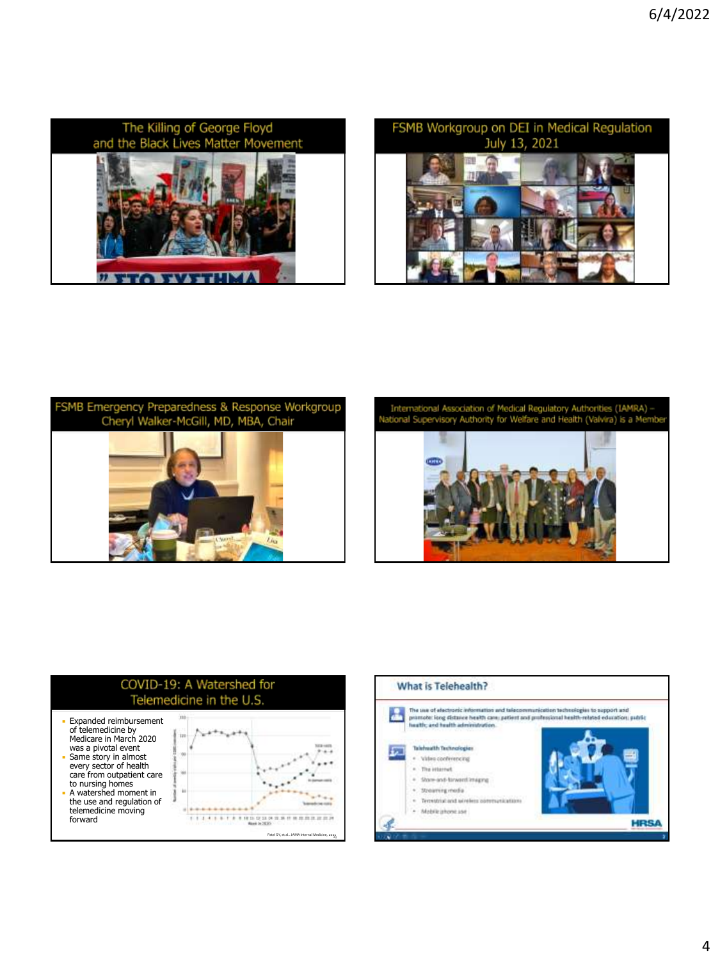





International Association of Medical Regulatory Authorities (IAMRA) --<br>National Supervisory Authority for Welfare and Health (Valvira) is a Member





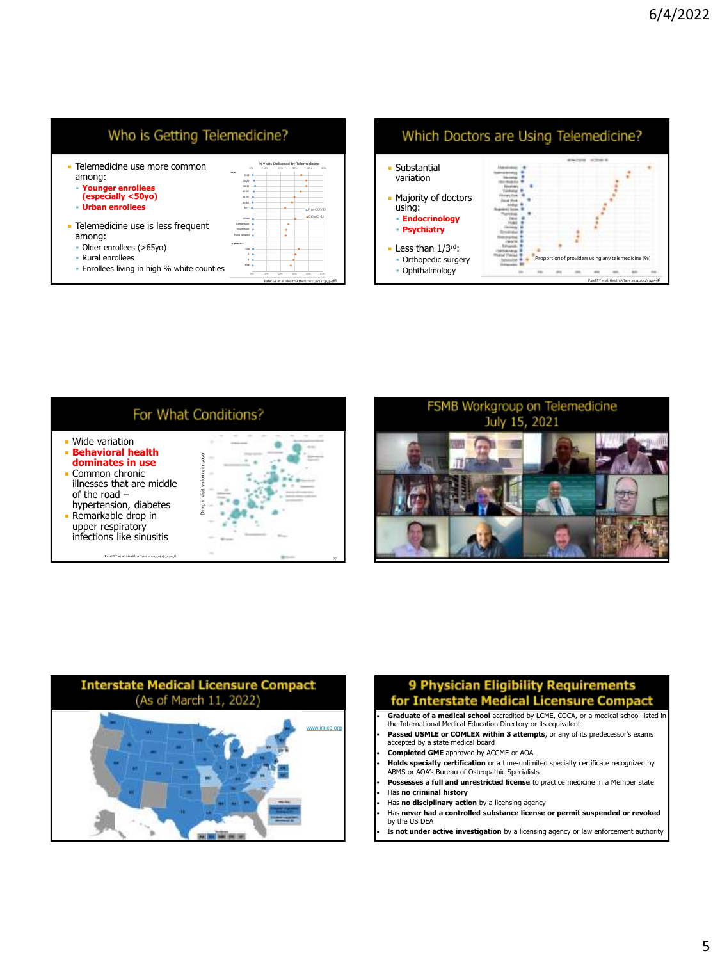

b









### 9 Physician Eligibility Requirements for Interstate Medical Licensure Compact

- **Graduate of a medical school** accredited by LCME, COCA, or a medical school listed in
- the International Medical Education Directory or its equivalent • **Passed USMLE or COMLEX within 3 attempts**, or any of its predecessor's exams
- accepted by a state medical board
- **Completed GME** approved by ACGME or AOA
- **Holds specialty certification** or a time-unlimited specialty certificate recognized by ABMS or AOA's Bureau of Osteopathic Specialists
- **Possesses a full and unrestricted license** to practice medicine in a Member state • Has **no criminal history**
- Has **no disciplinary action** by a licensing agency
- Has **never had a controlled substance license or permit suspended or revoked** by the US DEA
- Is **not under active investigation** by a licensing agency or law enforcement authority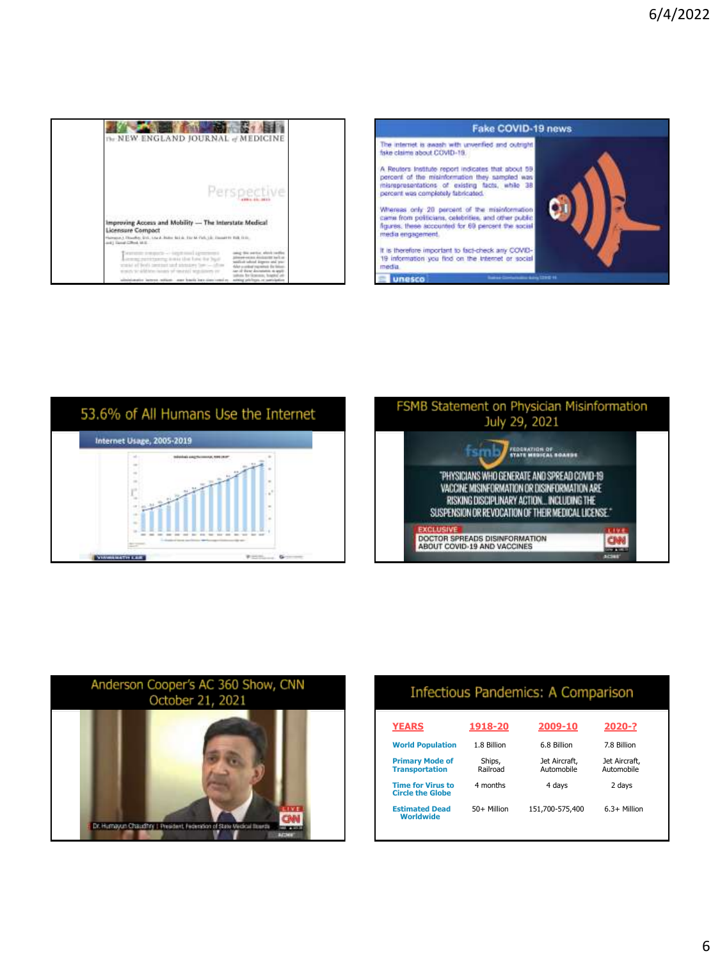| The NEW ENGLAND JOURNAL of MEDICINE                                                                                                                                                                                                                                                                                           |  |
|-------------------------------------------------------------------------------------------------------------------------------------------------------------------------------------------------------------------------------------------------------------------------------------------------------------------------------|--|
| Perspective<br><b><i>Profit Control State Control State</i></b>                                                                                                                                                                                                                                                               |  |
| Improving Access and Mobility - The Interstate Medical<br><b>Licensure Compact</b><br>Hampson J. Houseke, Grd., Louis, Baltic Maluk, Etic M. Park, Lik, Danast H. Balk, D.D.,<br>and J. Gangl (CRock 14-2)                                                                                                                    |  |
| bearings and goods -- licent must up<br>armed paintening a max that have the biguit<br>first talkied dispersy and lets<br>stated of foods inviting and additions from - often<br>a confession in a state of<br>worse, send Morro incorp of smarket negotiations or<br>alumatic laterns million. Just bacily has come creating |  |









| Infectious Pandemics: A Comparison                  |                    |                             |                             |  |  |  |
|-----------------------------------------------------|--------------------|-----------------------------|-----------------------------|--|--|--|
| <b>YEARS</b>                                        | 1918-20            | 2009-10                     | 2020-?                      |  |  |  |
| <b>World Population</b>                             | 1.8 Billion        | 6.8 Billion                 | 7.8 Billion                 |  |  |  |
| <b>Primary Mode of</b><br><b>Transportation</b>     | Ships,<br>Railroad | Jet Aircraft.<br>Automobile | Jet Aircraft.<br>Automobile |  |  |  |
| <b>Time for Virus to</b><br><b>Circle the Globe</b> | 4 months           | 4 days                      | 2 days                      |  |  |  |
| <b>Estimated Dead</b><br>Worldwide                  | 50+ Million        | 151.700-575.400             | $6.3+$ Million              |  |  |  |
|                                                     |                    |                             |                             |  |  |  |